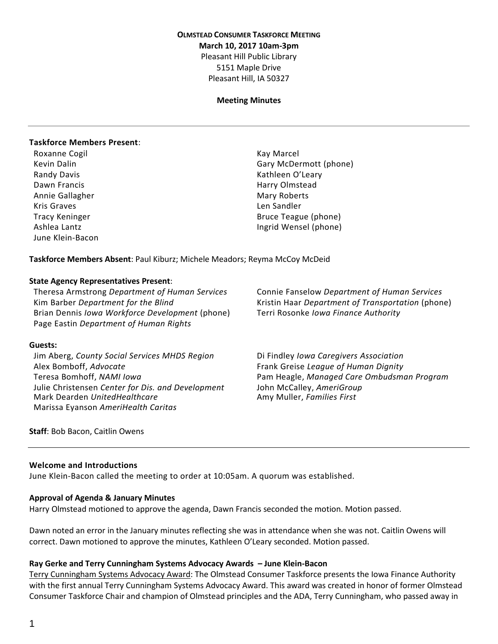### **OLMSTEAD CONSUMER TASKFORCE MEETING March 10, 2017 10am-3pm** Pleasant Hill Public Library 5151 Maple Drive Pleasant Hill, IA 50327

#### **Meeting Minutes**

#### **Taskforce Members Present**:

Roxanne Cogil **Kay Marcel** Kay Marcel Randy Davis **Kathleen O'Leary** Kathleen O'Leary Dawn Francis **Harry Olmstead** Harry Olmstead Annie Gallagher Mary Roberts and Mary Roberts Kris Graves **Len Sandler Len Sandler** June Klein-Bacon

Kevin Dalin Gary McDermott (phone) Tracy Keninger **Bruce Teague (phone)** Ashlea Lantz **Ingrid Wensel (phone)** 

**Taskforce Members Absent**: Paul Kiburz; Michele Meadors; Reyma McCoy McDeid

#### **State Agency Representatives Present**:

Theresa Armstrong *Department of Human Services* Connie Fanselow *Department of Human Services* Kim Barber *Department for the Blind* Kristin Haar *Department of Transportation* (phone) Brian Dennis *Iowa Workforce Development* (phone) Terri Rosonke *Iowa Finance Authority* Page Eastin *Department of Human Rights*

#### **Guests:**

Jim Aberg, *County Social Services MHDS Region* Di Findley *Iowa Caregivers Association* Alex Bomboff, *Advocate* Frank Greise *League of Human Dignity* Julie Christensen *Center for Dis. and Development* John McCalley, *AmeriGroup* Mark Dearden *UnitedHealthcare* Amy Muller, *Families First* Marissa Eyanson *AmeriHealth Caritas*

Teresa Bomhoff, *NAMI Iowa* Pam Heagle, *Managed Care Ombudsman Program*

**Staff**: Bob Bacon, Caitlin Owens

#### **Welcome and Introductions**

June Klein-Bacon called the meeting to order at 10:05am. A quorum was established.

#### **Approval of Agenda & January Minutes**

Harry Olmstead motioned to approve the agenda, Dawn Francis seconded the motion. Motion passed.

Dawn noted an error in the January minutes reflecting she was in attendance when she was not. Caitlin Owens will correct. Dawn motioned to approve the minutes, Kathleen O'Leary seconded. Motion passed.

#### **Ray Gerke and Terry Cunningham Systems Advocacy Awards – June Klein-Bacon**

Terry Cunningham Systems Advocacy Award: The Olmstead Consumer Taskforce presents the Iowa Finance Authority with the first annual Terry Cunningham Systems Advocacy Award. This award was created in honor of former Olmstead Consumer Taskforce Chair and champion of Olmstead principles and the ADA, Terry Cunningham, who passed away in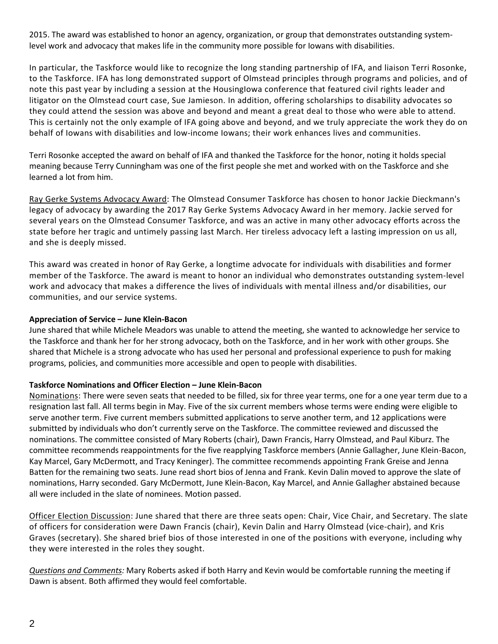2015. The award was established to honor an agency, organization, or group that demonstrates outstanding systemlevel work and advocacy that makes life in the community more possible for Iowans with disabilities.

In particular, the Taskforce would like to recognize the long standing partnership of IFA, and liaison Terri Rosonke, to the Taskforce. IFA has long demonstrated support of Olmstead principles through programs and policies, and of note this past year by including a session at the HousingIowa conference that featured civil rights leader and litigator on the Olmstead court case, Sue Jamieson. In addition, offering scholarships to disability advocates so they could attend the session was above and beyond and meant a great deal to those who were able to attend. This is certainly not the only example of IFA going above and beyond, and we truly appreciate the work they do on behalf of Iowans with disabilities and low-income Iowans; their work enhances lives and communities.

Terri Rosonke accepted the award on behalf of IFA and thanked the Taskforce for the honor, noting it holds special meaning because Terry Cunningham was one of the first people she met and worked with on the Taskforce and she learned a lot from him.

Ray Gerke Systems Advocacy Award: The Olmstead Consumer Taskforce has chosen to honor Jackie Dieckmann's legacy of advocacy by awarding the 2017 Ray Gerke Systems Advocacy Award in her memory. Jackie served for several years on the Olmstead Consumer Taskforce, and was an active in many other advocacy efforts across the state before her tragic and untimely passing last March. Her tireless advocacy left a lasting impression on us all, and she is deeply missed.

This award was created in honor of Ray Gerke, a longtime advocate for individuals with disabilities and former member of the Taskforce. The award is meant to honor an individual who demonstrates outstanding system-level work and advocacy that makes a difference the lives of individuals with mental illness and/or disabilities, our communities, and our service systems.

### **Appreciation of Service – June Klein-Bacon**

June shared that while Michele Meadors was unable to attend the meeting, she wanted to acknowledge her service to the Taskforce and thank her for her strong advocacy, both on the Taskforce, and in her work with other groups. She shared that Michele is a strong advocate who has used her personal and professional experience to push for making programs, policies, and communities more accessible and open to people with disabilities.

# **Taskforce Nominations and Officer Election – June Klein-Bacon**

Nominations: There were seven seats that needed to be filled, six for three year terms, one for a one year term due to a resignation last fall. All terms begin in May. Five of the six current members whose terms were ending were eligible to serve another term. Five current members submitted applications to serve another term, and 12 applications were submitted by individuals who don't currently serve on the Taskforce. The committee reviewed and discussed the nominations. The committee consisted of Mary Roberts (chair), Dawn Francis, Harry Olmstead, and Paul Kiburz. The committee recommends reappointments for the five reapplying Taskforce members (Annie Gallagher, June Klein-Bacon, Kay Marcel, Gary McDermott, and Tracy Keninger). The committee recommends appointing Frank Greise and Jenna Batten for the remaining two seats. June read short bios of Jenna and Frank. Kevin Dalin moved to approve the slate of nominations, Harry seconded. Gary McDermott, June Klein-Bacon, Kay Marcel, and Annie Gallagher abstained because all were included in the slate of nominees. Motion passed.

Officer Election Discussion: June shared that there are three seats open: Chair, Vice Chair, and Secretary. The slate of officers for consideration were Dawn Francis (chair), Kevin Dalin and Harry Olmstead (vice-chair), and Kris Graves (secretary). She shared brief bios of those interested in one of the positions with everyone, including why they were interested in the roles they sought.

*Questions and Comments:* Mary Roberts asked if both Harry and Kevin would be comfortable running the meeting if Dawn is absent. Both affirmed they would feel comfortable.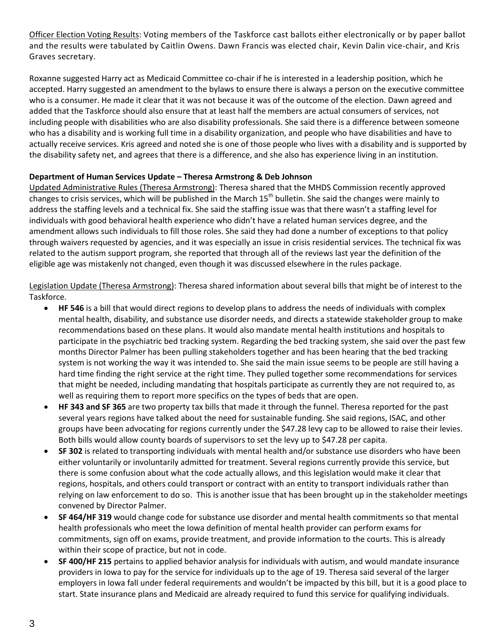Officer Election Voting Results: Voting members of the Taskforce cast ballots either electronically or by paper ballot and the results were tabulated by Caitlin Owens. Dawn Francis was elected chair, Kevin Dalin vice-chair, and Kris Graves secretary.

Roxanne suggested Harry act as Medicaid Committee co-chair if he is interested in a leadership position, which he accepted. Harry suggested an amendment to the bylaws to ensure there is always a person on the executive committee who is a consumer. He made it clear that it was not because it was of the outcome of the election. Dawn agreed and added that the Taskforce should also ensure that at least half the members are actual consumers of services, not including people with disabilities who are also disability professionals. She said there is a difference between someone who has a disability and is working full time in a disability organization, and people who have disabilities and have to actually receive services. Kris agreed and noted she is one of those people who lives with a disability and is supported by the disability safety net, and agrees that there is a difference, and she also has experience living in an institution.

# **Department of Human Services Update – Theresa Armstrong & Deb Johnson**

Updated Administrative Rules (Theresa Armstrong): Theresa shared that the MHDS Commission recently approved changes to crisis services, which will be published in the March  $15<sup>th</sup>$  bulletin. She said the changes were mainly to address the staffing levels and a technical fix. She said the staffing issue was that there wasn't a staffing level for individuals with good behavioral health experience who didn't have a related human services degree, and the amendment allows such individuals to fill those roles. She said they had done a number of exceptions to that policy through waivers requested by agencies, and it was especially an issue in crisis residential services. The technical fix was related to the autism support program, she reported that through all of the reviews last year the definition of the eligible age was mistakenly not changed, even though it was discussed elsewhere in the rules package.

Legislation Update (Theresa Armstrong): Theresa shared information about several bills that might be of interest to the Taskforce.

- **HF 546** is a bill that would direct regions to develop plans to address the needs of individuals with complex mental health, disability, and substance use disorder needs, and directs a statewide stakeholder group to make recommendations based on these plans. It would also mandate mental health institutions and hospitals to participate in the psychiatric bed tracking system. Regarding the bed tracking system, she said over the past few months Director Palmer has been pulling stakeholders together and has been hearing that the bed tracking system is not working the way it was intended to. She said the main issue seems to be people are still having a hard time finding the right service at the right time. They pulled together some recommendations for services that might be needed, including mandating that hospitals participate as currently they are not required to, as well as requiring them to report more specifics on the types of beds that are open.
- **HF 343 and SF 365** are two property tax bills that made it through the funnel. Theresa reported for the past several years regions have talked about the need for sustainable funding. She said regions, ISAC, and other groups have been advocating for regions currently under the \$47.28 levy cap to be allowed to raise their levies. Both bills would allow county boards of supervisors to set the levy up to \$47.28 per capita.
- **SF 302** is related to transporting individuals with mental health and/or substance use disorders who have been either voluntarily or involuntarily admitted for treatment. Several regions currently provide this service, but there is some confusion about what the code actually allows, and this legislation would make it clear that regions, hospitals, and others could transport or contract with an entity to transport individuals rather than relying on law enforcement to do so. This is another issue that has been brought up in the stakeholder meetings convened by Director Palmer.
- **SF 464/HF 319** would change code for substance use disorder and mental health commitments so that mental health professionals who meet the Iowa definition of mental health provider can perform exams for commitments, sign off on exams, provide treatment, and provide information to the courts. This is already within their scope of practice, but not in code.
- **SF 400/HF 215** pertains to applied behavior analysis for individuals with autism, and would mandate insurance providers in Iowa to pay for the service for individuals up to the age of 19. Theresa said several of the larger employers in Iowa fall under federal requirements and wouldn't be impacted by this bill, but it is a good place to start. State insurance plans and Medicaid are already required to fund this service for qualifying individuals.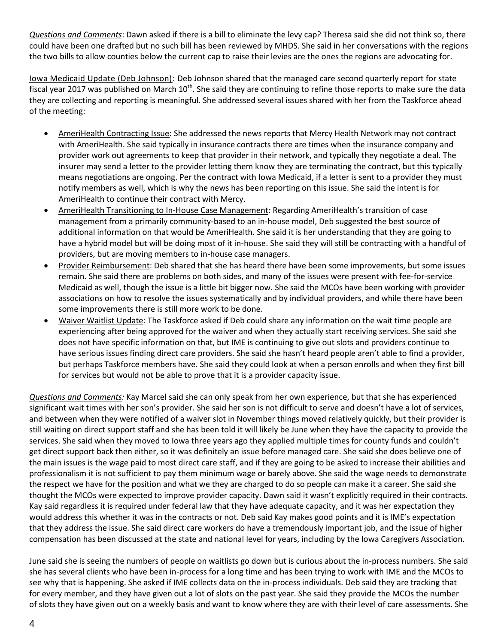*Questions and Comments*: Dawn asked if there is a bill to eliminate the levy cap? Theresa said she did not think so, there could have been one drafted but no such bill has been reviewed by MHDS. She said in her conversations with the regions the two bills to allow counties below the current cap to raise their levies are the ones the regions are advocating for.

Iowa Medicaid Update (Deb Johnson): Deb Johnson shared that the managed care second quarterly report for state fiscal year 2017 was published on March  $10^{th}$ . She said they are continuing to refine those reports to make sure the data they are collecting and reporting is meaningful. She addressed several issues shared with her from the Taskforce ahead of the meeting:

- AmeriHealth Contracting Issue: She addressed the news reports that Mercy Health Network may not contract with AmeriHealth. She said typically in insurance contracts there are times when the insurance company and provider work out agreements to keep that provider in their network, and typically they negotiate a deal. The insurer may send a letter to the provider letting them know they are terminating the contract, but this typically means negotiations are ongoing. Per the contract with Iowa Medicaid, if a letter is sent to a provider they must notify members as well, which is why the news has been reporting on this issue. She said the intent is for AmeriHealth to continue their contract with Mercy.
- AmeriHealth Transitioning to In-House Case Management: Regarding AmeriHealth's transition of case management from a primarily community-based to an in-house model, Deb suggested the best source of additional information on that would be AmeriHealth. She said it is her understanding that they are going to have a hybrid model but will be doing most of it in-house. She said they will still be contracting with a handful of providers, but are moving members to in-house case managers.
- Provider Reimbursement: Deb shared that she has heard there have been some improvements, but some issues remain. She said there are problems on both sides, and many of the issues were present with fee-for-service Medicaid as well, though the issue is a little bit bigger now. She said the MCOs have been working with provider associations on how to resolve the issues systematically and by individual providers, and while there have been some improvements there is still more work to be done.
- Waiver Waitlist Update: The Taskforce asked if Deb could share any information on the wait time people are experiencing after being approved for the waiver and when they actually start receiving services. She said she does not have specific information on that, but IME is continuing to give out slots and providers continue to have serious issues finding direct care providers. She said she hasn't heard people aren't able to find a provider, but perhaps Taskforce members have. She said they could look at when a person enrolls and when they first bill for services but would not be able to prove that it is a provider capacity issue.

*Questions and Comments:* Kay Marcel said she can only speak from her own experience, but that she has experienced significant wait times with her son's provider. She said her son is not difficult to serve and doesn't have a lot of services, and between when they were notified of a waiver slot in November things moved relatively quickly, but their provider is still waiting on direct support staff and she has been told it will likely be June when they have the capacity to provide the services. She said when they moved to Iowa three years ago they applied multiple times for county funds and couldn't get direct support back then either, so it was definitely an issue before managed care. She said she does believe one of the main issues is the wage paid to most direct care staff, and if they are going to be asked to increase their abilities and professionalism it is not sufficient to pay them minimum wage or barely above. She said the wage needs to demonstrate the respect we have for the position and what we they are charged to do so people can make it a career. She said she thought the MCOs were expected to improve provider capacity. Dawn said it wasn't explicitly required in their contracts. Kay said regardless it is required under federal law that they have adequate capacity, and it was her expectation they would address this whether it was in the contracts or not. Deb said Kay makes good points and it is IME's expectation that they address the issue. She said direct care workers do have a tremendously important job, and the issue of higher compensation has been discussed at the state and national level for years, including by the Iowa Caregivers Association.

June said she is seeing the numbers of people on waitlists go down but is curious about the in-process numbers. She said she has several clients who have been in-process for a long time and has been trying to work with IME and the MCOs to see why that is happening. She asked if IME collects data on the in-process individuals. Deb said they are tracking that for every member, and they have given out a lot of slots on the past year. She said they provide the MCOs the number of slots they have given out on a weekly basis and want to know where they are with their level of care assessments. She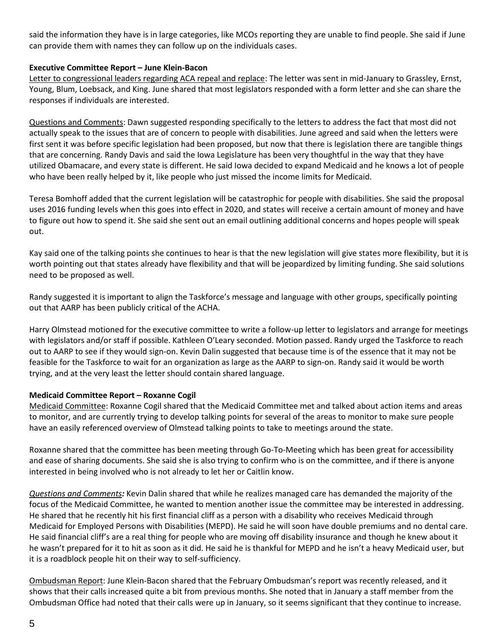said the information they have is in large categories, like MCOs reporting they are unable to find people. She said if June can provide them with names they can follow up on the individuals cases.

### **Executive Committee Report – June Klein-Bacon**

Letter to congressional leaders regarding ACA repeal and replace: The letter was sent in mid-January to Grassley, Ernst, Young, Blum, Loebsack, and King. June shared that most legislators responded with a form letter and she can share the responses if individuals are interested.

Questions and Comments: Dawn suggested responding specifically to the letters to address the fact that most did not actually speak to the issues that are of concern to people with disabilities. June agreed and said when the letters were first sent it was before specific legislation had been proposed, but now that there is legislation there are tangible things that are concerning. Randy Davis and said the Iowa Legislature has been very thoughtful in the way that they have utilized Obamacare, and every state is different. He said Iowa decided to expand Medicaid and he knows a lot of people who have been really helped by it, like people who just missed the income limits for Medicaid.

Teresa Bomhoff added that the current legislation will be catastrophic for people with disabilities. She said the proposal uses 2016 funding levels when this goes into effect in 2020, and states will receive a certain amount of money and have to figure out how to spend it. She said she sent out an email outlining additional concerns and hopes people will speak out.

Kay said one of the talking points she continues to hear is that the new legislation will give states more flexibility, but it is worth pointing out that states already have flexibility and that will be jeopardized by limiting funding. She said solutions need to be proposed as well.

Randy suggested it is important to align the Taskforce's message and language with other groups, specifically pointing out that AARP has been publicly critical of the ACHA.

Harry Olmstead motioned for the executive committee to write a follow-up letter to legislators and arrange for meetings with legislators and/or staff if possible. Kathleen O'Leary seconded. Motion passed. Randy urged the Taskforce to reach out to AARP to see if they would sign-on. Kevin Dalin suggested that because time is of the essence that it may not be feasible for the Taskforce to wait for an organization as large as the AARP to sign-on. Randy said it would be worth trying, and at the very least the letter should contain shared language.

#### **Medicaid Committee Report – Roxanne Cogil**

Medicaid Committee: Roxanne Cogil shared that the Medicaid Committee met and talked about action items and areas to monitor, and are currently trying to develop talking points for several of the areas to monitor to make sure people have an easily referenced overview of Olmstead talking points to take to meetings around the state.

Roxanne shared that the committee has been meeting through Go-To-Meeting which has been great for accessibility and ease of sharing documents. She said she is also trying to confirm who is on the committee, and if there is anyone interested in being involved who is not already to let her or Caitlin know.

*Questions and Comments:* Kevin Dalin shared that while he realizes managed care has demanded the majority of the focus of the Medicaid Committee, he wanted to mention another issue the committee may be interested in addressing. He shared that he recently hit his first financial cliff as a person with a disability who receives Medicaid through Medicaid for Employed Persons with Disabilities (MEPD). He said he will soon have double premiums and no dental care. He said financial cliff's are a real thing for people who are moving off disability insurance and though he knew about it he wasn't prepared for it to hit as soon as it did. He said he is thankful for MEPD and he isn't a heavy Medicaid user, but it is a roadblock people hit on their way to self-sufficiency.

Ombudsman Report: June Klein-Bacon shared that the February Ombudsman's report was recently released, and it shows that their calls increased quite a bit from previous months. She noted that in January a staff member from the Ombudsman Office had noted that their calls were up in January, so it seems significant that they continue to increase.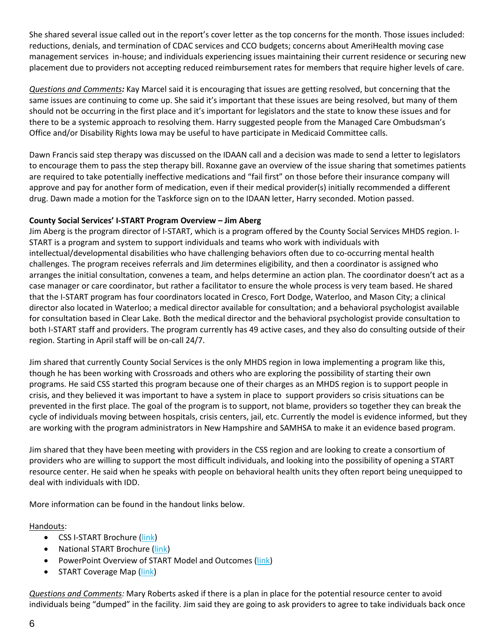She shared several issue called out in the report's cover letter as the top concerns for the month. Those issues included: reductions, denials, and termination of CDAC services and CCO budgets; concerns about AmeriHealth moving case management services in-house; and individuals experiencing issues maintaining their current residence or securing new placement due to providers not accepting reduced reimbursement rates for members that require higher levels of care.

*Questions and Comments:* Kay Marcel said it is encouraging that issues are getting resolved, but concerning that the same issues are continuing to come up. She said it's important that these issues are being resolved, but many of them should not be occurring in the first place and it's important for legislators and the state to know these issues and for there to be a systemic approach to resolving them. Harry suggested people from the Managed Care Ombudsman's Office and/or Disability Rights Iowa may be useful to have participate in Medicaid Committee calls.

Dawn Francis said step therapy was discussed on the IDAAN call and a decision was made to send a letter to legislators to encourage them to pass the step therapy bill. Roxanne gave an overview of the issue sharing that sometimes patients are required to take potentially ineffective medications and "fail first" on those before their insurance company will approve and pay for another form of medication, even if their medical provider(s) initially recommended a different drug. Dawn made a motion for the Taskforce sign on to the IDAAN letter, Harry seconded. Motion passed.

# **County Social Services' I-START Program Overview – Jim Aberg**

Jim Aberg is the program director of I-START, which is a program offered by the County Social Services MHDS region. I-START is a program and system to support individuals and teams who work with individuals with intellectual/developmental disabilities who have challenging behaviors often due to co-occurring mental health challenges. The program receives referrals and Jim determines eligibility, and then a coordinator is assigned who arranges the initial consultation, convenes a team, and helps determine an action plan. The coordinator doesn't act as a case manager or care coordinator, but rather a facilitator to ensure the whole process is very team based. He shared that the I-START program has four coordinators located in Cresco, Fort Dodge, Waterloo, and Mason City; a clinical director also located in Waterloo; a medical director available for consultation; and a behavioral psychologist available for consultation based in Clear Lake. Both the medical director and the behavioral psychologist provide consultation to both I-START staff and providers. The program currently has 49 active cases, and they also do consulting outside of their region. Starting in April staff will be on-call 24/7.

Jim shared that currently County Social Services is the only MHDS region in Iowa implementing a program like this, though he has been working with Crossroads and others who are exploring the possibility of starting their own programs. He said CSS started this program because one of their charges as an MHDS region is to support people in crisis, and they believed it was important to have a system in place to support providers so crisis situations can be prevented in the first place. The goal of the program is to support, not blame, providers so together they can break the cycle of individuals moving between hospitals, crisis centers, jail, etc. Currently the model is evidence informed, but they are working with the program administrators in New Hampshire and SAMHSA to make it an evidence based program.

Jim shared that they have been meeting with providers in the CSS region and are looking to create a consortium of providers who are willing to support the most difficult individuals, and looking into the possibility of opening a START resource center. He said when he speaks with people on behavioral health units they often report being unequipped to deal with individuals with IDD.

More information can be found in the handout links below.

# Handouts:

- CSS I-START Brochure [\(link\)](file:///H:/OCTF/OCTF%20Main/Meetings/2017%20Agendas%20Minutes%20and%20Mtg%20Materials/March%20Mtg%20Materials/START%20Program%20Info/CSS%20I-START%20Brochure%20(Revised%208-9-2016).pdf)
- National START Brochure [\(link\)](file:///H:/OCTF/OCTF%20Main/Meetings/2017%20Agendas%20Minutes%20and%20Mtg%20Materials/March%20Mtg%20Materials/START%20Program%20Info/National%20START%20Brochure%206-22-16.pdf)
- PowerPoint Overview of START Model and Outcomes [\(link\)](file:///H:/OCTF/OCTF%20Main/Meetings/2017%20Agendas%20Minutes%20and%20Mtg%20Materials/March%20Mtg%20Materials/START%20Program%20Info/Overview%20of%20START%20Model%20and%20outcomes%20Iowa%20presentaion%209-16jbb.pptx)
- START Coverage Map [\(link\)](file:///H:/OCTF/OCTF%20Main/Meetings/2017%20Agendas%20Minutes%20and%20Mtg%20Materials/March%20Mtg%20Materials/START%20Program%20Info/START%20Coverage%20Map%20Oct%202106.docx)

*Questions and Comments:* Mary Roberts asked if there is a plan in place for the potential resource center to avoid individuals being "dumped" in the facility. Jim said they are going to ask providers to agree to take individuals back once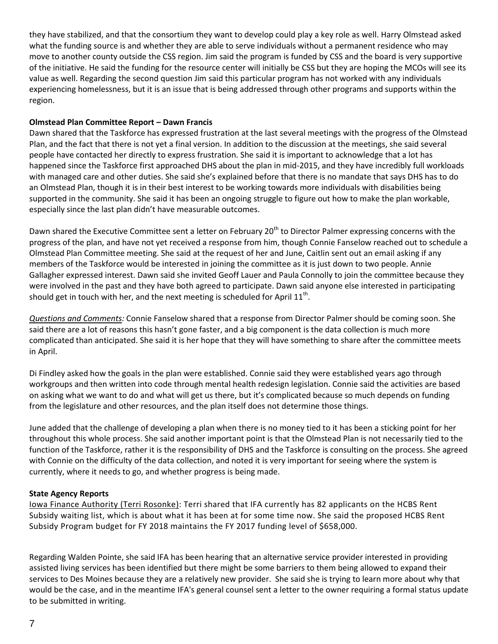they have stabilized, and that the consortium they want to develop could play a key role as well. Harry Olmstead asked what the funding source is and whether they are able to serve individuals without a permanent residence who may move to another county outside the CSS region. Jim said the program is funded by CSS and the board is very supportive of the initiative. He said the funding for the resource center will initially be CSS but they are hoping the MCOs will see its value as well. Regarding the second question Jim said this particular program has not worked with any individuals experiencing homelessness, but it is an issue that is being addressed through other programs and supports within the region.

# **Olmstead Plan Committee Report – Dawn Francis**

Dawn shared that the Taskforce has expressed frustration at the last several meetings with the progress of the Olmstead Plan, and the fact that there is not yet a final version. In addition to the discussion at the meetings, she said several people have contacted her directly to express frustration. She said it is important to acknowledge that a lot has happened since the Taskforce first approached DHS about the plan in mid-2015, and they have incredibly full workloads with managed care and other duties. She said she's explained before that there is no mandate that says DHS has to do an Olmstead Plan, though it is in their best interest to be working towards more individuals with disabilities being supported in the community. She said it has been an ongoing struggle to figure out how to make the plan workable, especially since the last plan didn't have measurable outcomes.

Dawn shared the Executive Committee sent a letter on February 20<sup>th</sup> to Director Palmer expressing concerns with the progress of the plan, and have not yet received a response from him, though Connie Fanselow reached out to schedule a Olmstead Plan Committee meeting. She said at the request of her and June, Caitlin sent out an email asking if any members of the Taskforce would be interested in joining the committee as it is just down to two people. Annie Gallagher expressed interest. Dawn said she invited Geoff Lauer and Paula Connolly to join the committee because they were involved in the past and they have both agreed to participate. Dawn said anyone else interested in participating should get in touch with her, and the next meeting is scheduled for April  $11^{\text{th}}$ .

*Questions and Comments:* Connie Fanselow shared that a response from Director Palmer should be coming soon. She said there are a lot of reasons this hasn't gone faster, and a big component is the data collection is much more complicated than anticipated. She said it is her hope that they will have something to share after the committee meets in April.

Di Findley asked how the goals in the plan were established. Connie said they were established years ago through workgroups and then written into code through mental health redesign legislation. Connie said the activities are based on asking what we want to do and what will get us there, but it's complicated because so much depends on funding from the legislature and other resources, and the plan itself does not determine those things.

June added that the challenge of developing a plan when there is no money tied to it has been a sticking point for her throughout this whole process. She said another important point is that the Olmstead Plan is not necessarily tied to the function of the Taskforce, rather it is the responsibility of DHS and the Taskforce is consulting on the process. She agreed with Connie on the difficulty of the data collection, and noted it is very important for seeing where the system is currently, where it needs to go, and whether progress is being made.

# **State Agency Reports**

Iowa Finance Authority (Terri Rosonke): Terri shared that IFA currently has 82 applicants on the HCBS Rent Subsidy waiting list, which is about what it has been at for some time now. She said the proposed HCBS Rent Subsidy Program budget for FY 2018 maintains the FY 2017 funding level of \$658,000.

Regarding Walden Pointe, she said IFA has been hearing that an alternative service provider interested in providing assisted living services has been identified but there might be some barriers to them being allowed to expand their services to Des Moines because they are a relatively new provider. She said she is trying to learn more about why that would be the case, and in the meantime IFA's general counsel sent a letter to the owner requiring a formal status update to be submitted in writing.